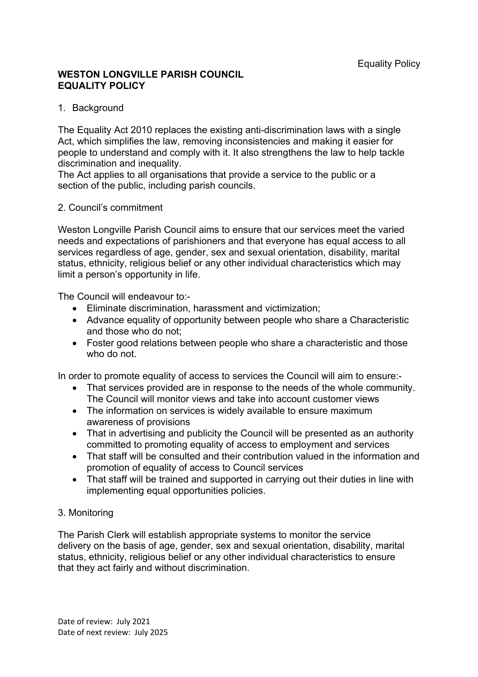### **WESTON LONGVILLE PARISH COUNCIL EQUALITY POLICY**

## 1. Background

The Equality Act 2010 replaces the existing anti-discrimination laws with a single Act, which simplifies the law, removing inconsistencies and making it easier for people to understand and comply with it. It also strengthens the law to help tackle discrimination and inequality.

The Act applies to all organisations that provide a service to the public or a section of the public, including parish councils.

#### 2. Council's commitment

Weston Longville Parish Council aims to ensure that our services meet the varied needs and expectations of parishioners and that everyone has equal access to all services regardless of age, gender, sex and sexual orientation, disability, marital status, ethnicity, religious belief or any other individual characteristics which may limit a person's opportunity in life.

The Council will endeavour to:-

- Eliminate discrimination, harassment and victimization;
- Advance equality of opportunity between people who share a Characteristic and those who do not;
- Foster good relations between people who share a characteristic and those who do not.

In order to promote equality of access to services the Council will aim to ensure:-

- That services provided are in response to the needs of the whole community. The Council will monitor views and take into account customer views
- The information on services is widely available to ensure maximum awareness of provisions
- That in advertising and publicity the Council will be presented as an authority committed to promoting equality of access to employment and services
- That staff will be consulted and their contribution valued in the information and promotion of equality of access to Council services
- That staff will be trained and supported in carrying out their duties in line with implementing equal opportunities policies.

# 3. Monitoring

The Parish Clerk will establish appropriate systems to monitor the service delivery on the basis of age, gender, sex and sexual orientation, disability, marital status, ethnicity, religious belief or any other individual characteristics to ensure that they act fairly and without discrimination.